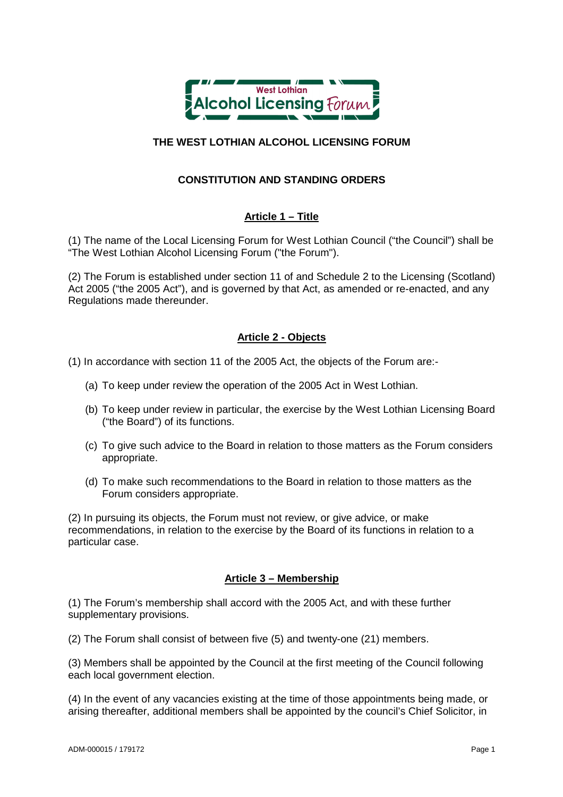

# **THE WEST LOTHIAN ALCOHOL LICENSING FORUM**

# **CONSTITUTION AND STANDING ORDERS**

# **Article 1 – Title**

(1) The name of the Local Licensing Forum for West Lothian Council ("the Council") shall be "The West Lothian Alcohol Licensing Forum ("the Forum").

(2) The Forum is established under section 11 of and Schedule 2 to the Licensing (Scotland) Act 2005 ("the 2005 Act"), and is governed by that Act, as amended or re-enacted, and any Regulations made thereunder.

### **Article 2 - Objects**

(1) In accordance with section 11 of the 2005 Act, the objects of the Forum are:-

- (a) To keep under review the operation of the 2005 Act in West Lothian.
- (b) To keep under review in particular, the exercise by the West Lothian Licensing Board ("the Board") of its functions.
- (c) To give such advice to the Board in relation to those matters as the Forum considers appropriate.
- (d) To make such recommendations to the Board in relation to those matters as the Forum considers appropriate.

(2) In pursuing its objects, the Forum must not review, or give advice, or make recommendations, in relation to the exercise by the Board of its functions in relation to a particular case.

### **Article 3 – Membership**

(1) The Forum's membership shall accord with the 2005 Act, and with these further supplementary provisions.

(2) The Forum shall consist of between five (5) and twenty-one (21) members.

(3) Members shall be appointed by the Council at the first meeting of the Council following each local government election.

(4) In the event of any vacancies existing at the time of those appointments being made, or arising thereafter, additional members shall be appointed by the council's Chief Solicitor, in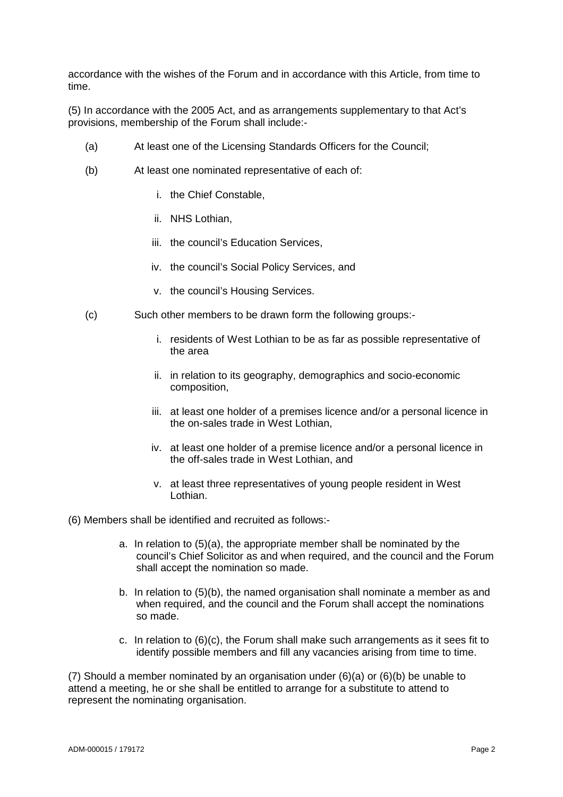accordance with the wishes of the Forum and in accordance with this Article, from time to time.

(5) In accordance with the 2005 Act, and as arrangements supplementary to that Act's provisions, membership of the Forum shall include:-

- (a) At least one of the Licensing Standards Officers for the Council;
- (b) At least one nominated representative of each of:
	- i. the Chief Constable,
	- ii. NHS Lothian,
	- iii. the council's Education Services,
	- iv. the council's Social Policy Services, and
	- v. the council's Housing Services.
- (c) Such other members to be drawn form the following groups:
	- i. residents of West Lothian to be as far as possible representative of the area
	- ii. in relation to its geography, demographics and socio-economic composition,
	- iii. at least one holder of a premises licence and/or a personal licence in the on-sales trade in West Lothian,
	- iv. at least one holder of a premise licence and/or a personal licence in the off-sales trade in West Lothian, and
	- v. at least three representatives of young people resident in West Lothian.

(6) Members shall be identified and recruited as follows:-

- a. In relation to (5)(a), the appropriate member shall be nominated by the council's Chief Solicitor as and when required, and the council and the Forum shall accept the nomination so made.
- b. In relation to (5)(b), the named organisation shall nominate a member as and when required, and the council and the Forum shall accept the nominations so made.
- c. In relation to  $(6)(c)$ , the Forum shall make such arrangements as it sees fit to identify possible members and fill any vacancies arising from time to time.

(7) Should a member nominated by an organisation under (6)(a) or (6)(b) be unable to attend a meeting, he or she shall be entitled to arrange for a substitute to attend to represent the nominating organisation.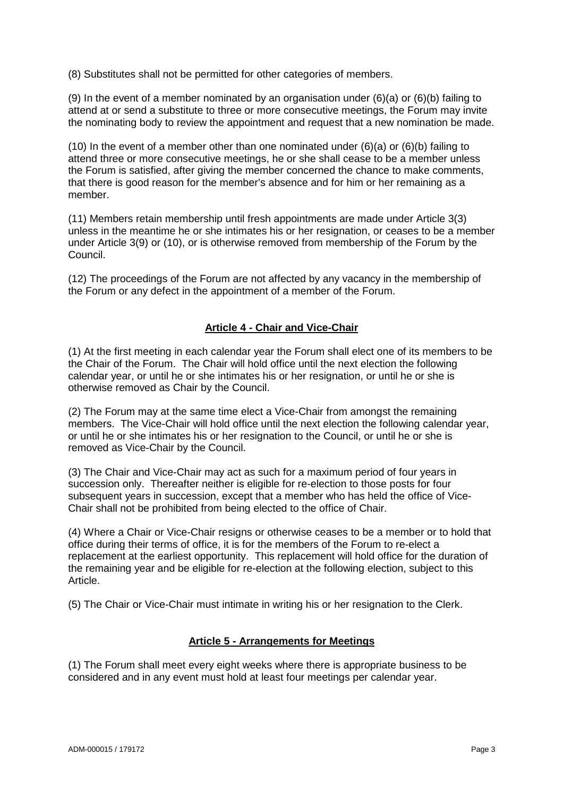(8) Substitutes shall not be permitted for other categories of members.

(9) In the event of a member nominated by an organisation under  $(6)(a)$  or  $(6)(b)$  failing to attend at or send a substitute to three or more consecutive meetings, the Forum may invite the nominating body to review the appointment and request that a new nomination be made.

(10) In the event of a member other than one nominated under  $(6)(a)$  or  $(6)(b)$  failing to attend three or more consecutive meetings, he or she shall cease to be a member unless the Forum is satisfied, after giving the member concerned the chance to make comments, that there is good reason for the member's absence and for him or her remaining as a member.

(11) Members retain membership until fresh appointments are made under Article 3(3) unless in the meantime he or she intimates his or her resignation, or ceases to be a member under Article 3(9) or (10), or is otherwise removed from membership of the Forum by the Council.

(12) The proceedings of the Forum are not affected by any vacancy in the membership of the Forum or any defect in the appointment of a member of the Forum.

### **Article 4 - Chair and Vice-Chair**

(1) At the first meeting in each calendar year the Forum shall elect one of its members to be the Chair of the Forum. The Chair will hold office until the next election the following calendar year, or until he or she intimates his or her resignation, or until he or she is otherwise removed as Chair by the Council.

(2) The Forum may at the same time elect a Vice-Chair from amongst the remaining members. The Vice-Chair will hold office until the next election the following calendar year, or until he or she intimates his or her resignation to the Council, or until he or she is removed as Vice-Chair by the Council.

(3) The Chair and Vice-Chair may act as such for a maximum period of four years in succession only. Thereafter neither is eligible for re-election to those posts for four subsequent years in succession, except that a member who has held the office of Vice-Chair shall not be prohibited from being elected to the office of Chair.

(4) Where a Chair or Vice-Chair resigns or otherwise ceases to be a member or to hold that office during their terms of office, it is for the members of the Forum to re-elect a replacement at the earliest opportunity. This replacement will hold office for the duration of the remaining year and be eligible for re-election at the following election, subject to this Article.

(5) The Chair or Vice-Chair must intimate in writing his or her resignation to the Clerk.

### **Article 5 - Arrangements for Meetings**

(1) The Forum shall meet every eight weeks where there is appropriate business to be considered and in any event must hold at least four meetings per calendar year.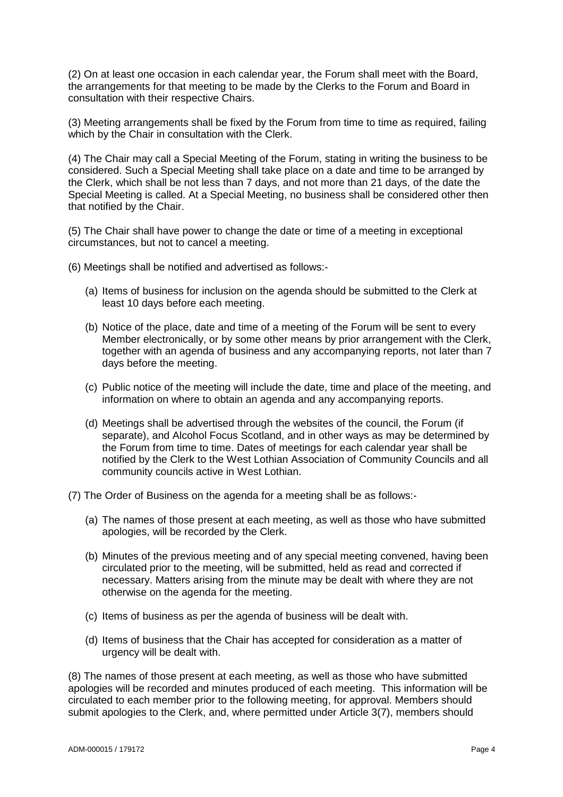(2) On at least one occasion in each calendar year, the Forum shall meet with the Board, the arrangements for that meeting to be made by the Clerks to the Forum and Board in consultation with their respective Chairs.

(3) Meeting arrangements shall be fixed by the Forum from time to time as required, failing which by the Chair in consultation with the Clerk.

(4) The Chair may call a Special Meeting of the Forum, stating in writing the business to be considered. Such a Special Meeting shall take place on a date and time to be arranged by the Clerk, which shall be not less than 7 days, and not more than 21 days, of the date the Special Meeting is called. At a Special Meeting, no business shall be considered other then that notified by the Chair.

(5) The Chair shall have power to change the date or time of a meeting in exceptional circumstances, but not to cancel a meeting.

(6) Meetings shall be notified and advertised as follows:-

- (a) Items of business for inclusion on the agenda should be submitted to the Clerk at least 10 days before each meeting.
- (b) Notice of the place, date and time of a meeting of the Forum will be sent to every Member electronically, or by some other means by prior arrangement with the Clerk, together with an agenda of business and any accompanying reports, not later than 7 days before the meeting.
- (c) Public notice of the meeting will include the date, time and place of the meeting, and information on where to obtain an agenda and any accompanying reports.
- (d) Meetings shall be advertised through the websites of the council, the Forum (if separate), and Alcohol Focus Scotland, and in other ways as may be determined by the Forum from time to time. Dates of meetings for each calendar year shall be notified by the Clerk to the West Lothian Association of Community Councils and all community councils active in West Lothian.
- (7) The Order of Business on the agenda for a meeting shall be as follows:-
	- (a) The names of those present at each meeting, as well as those who have submitted apologies, will be recorded by the Clerk.
	- (b) Minutes of the previous meeting and of any special meeting convened, having been circulated prior to the meeting, will be submitted, held as read and corrected if necessary. Matters arising from the minute may be dealt with where they are not otherwise on the agenda for the meeting.
	- (c) Items of business as per the agenda of business will be dealt with.
	- (d) Items of business that the Chair has accepted for consideration as a matter of urgency will be dealt with.

(8) The names of those present at each meeting, as well as those who have submitted apologies will be recorded and minutes produced of each meeting. This information will be circulated to each member prior to the following meeting, for approval. Members should submit apologies to the Clerk, and, where permitted under Article 3(7), members should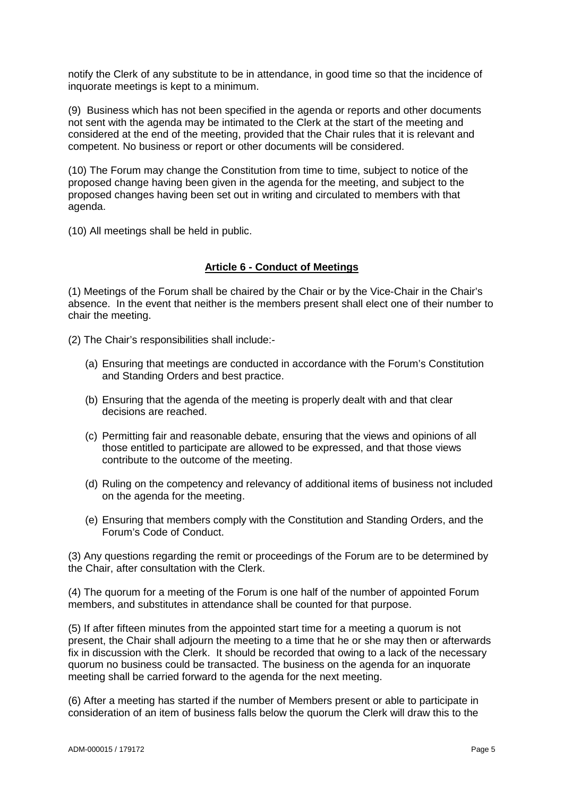notify the Clerk of any substitute to be in attendance, in good time so that the incidence of inquorate meetings is kept to a minimum.

(9) Business which has not been specified in the agenda or reports and other documents not sent with the agenda may be intimated to the Clerk at the start of the meeting and considered at the end of the meeting, provided that the Chair rules that it is relevant and competent. No business or report or other documents will be considered.

(10) The Forum may change the Constitution from time to time, subject to notice of the proposed change having been given in the agenda for the meeting, and subject to the proposed changes having been set out in writing and circulated to members with that agenda.

(10) All meetings shall be held in public.

#### **Article 6 - Conduct of Meetings**

(1) Meetings of the Forum shall be chaired by the Chair or by the Vice-Chair in the Chair's absence. In the event that neither is the members present shall elect one of their number to chair the meeting.

(2) The Chair's responsibilities shall include:-

- (a) Ensuring that meetings are conducted in accordance with the Forum's Constitution and Standing Orders and best practice.
- (b) Ensuring that the agenda of the meeting is properly dealt with and that clear decisions are reached.
- (c) Permitting fair and reasonable debate, ensuring that the views and opinions of all those entitled to participate are allowed to be expressed, and that those views contribute to the outcome of the meeting.
- (d) Ruling on the competency and relevancy of additional items of business not included on the agenda for the meeting.
- (e) Ensuring that members comply with the Constitution and Standing Orders, and the Forum's Code of Conduct.

(3) Any questions regarding the remit or proceedings of the Forum are to be determined by the Chair, after consultation with the Clerk.

(4) The quorum for a meeting of the Forum is one half of the number of appointed Forum members, and substitutes in attendance shall be counted for that purpose.

(5) If after fifteen minutes from the appointed start time for a meeting a quorum is not present, the Chair shall adjourn the meeting to a time that he or she may then or afterwards fix in discussion with the Clerk. It should be recorded that owing to a lack of the necessary quorum no business could be transacted. The business on the agenda for an inquorate meeting shall be carried forward to the agenda for the next meeting.

(6) After a meeting has started if the number of Members present or able to participate in consideration of an item of business falls below the quorum the Clerk will draw this to the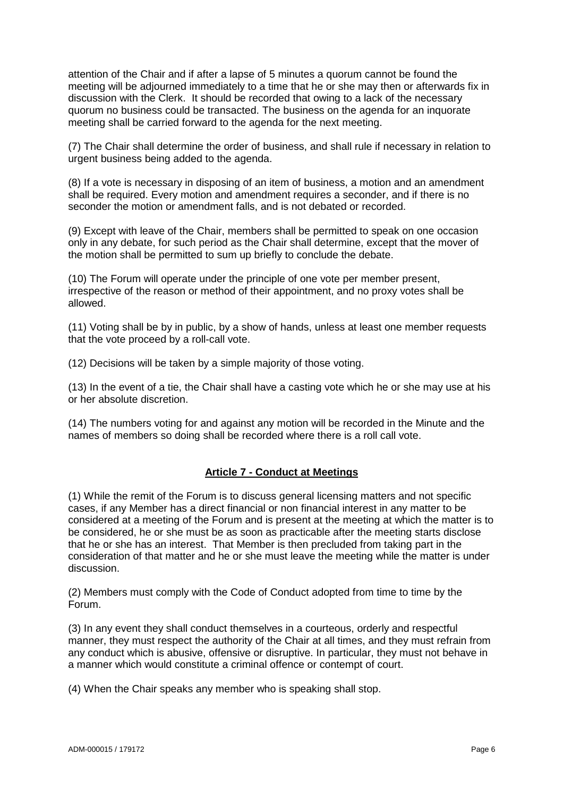attention of the Chair and if after a lapse of 5 minutes a quorum cannot be found the meeting will be adjourned immediately to a time that he or she may then or afterwards fix in discussion with the Clerk. It should be recorded that owing to a lack of the necessary quorum no business could be transacted. The business on the agenda for an inquorate meeting shall be carried forward to the agenda for the next meeting.

(7) The Chair shall determine the order of business, and shall rule if necessary in relation to urgent business being added to the agenda.

(8) If a vote is necessary in disposing of an item of business, a motion and an amendment shall be required. Every motion and amendment requires a seconder, and if there is no seconder the motion or amendment falls, and is not debated or recorded.

(9) Except with leave of the Chair, members shall be permitted to speak on one occasion only in any debate, for such period as the Chair shall determine, except that the mover of the motion shall be permitted to sum up briefly to conclude the debate.

(10) The Forum will operate under the principle of one vote per member present, irrespective of the reason or method of their appointment, and no proxy votes shall be allowed.

(11) Voting shall be by in public, by a show of hands, unless at least one member requests that the vote proceed by a roll-call vote.

(12) Decisions will be taken by a simple majority of those voting.

(13) In the event of a tie, the Chair shall have a casting vote which he or she may use at his or her absolute discretion.

(14) The numbers voting for and against any motion will be recorded in the Minute and the names of members so doing shall be recorded where there is a roll call vote.

### **Article 7 - Conduct at Meetings**

(1) While the remit of the Forum is to discuss general licensing matters and not specific cases, if any Member has a direct financial or non financial interest in any matter to be considered at a meeting of the Forum and is present at the meeting at which the matter is to be considered, he or she must be as soon as practicable after the meeting starts disclose that he or she has an interest. That Member is then precluded from taking part in the consideration of that matter and he or she must leave the meeting while the matter is under discussion.

(2) Members must comply with the Code of Conduct adopted from time to time by the Forum.

(3) In any event they shall conduct themselves in a courteous, orderly and respectful manner, they must respect the authority of the Chair at all times, and they must refrain from any conduct which is abusive, offensive or disruptive. In particular, they must not behave in a manner which would constitute a criminal offence or contempt of court.

(4) When the Chair speaks any member who is speaking shall stop.